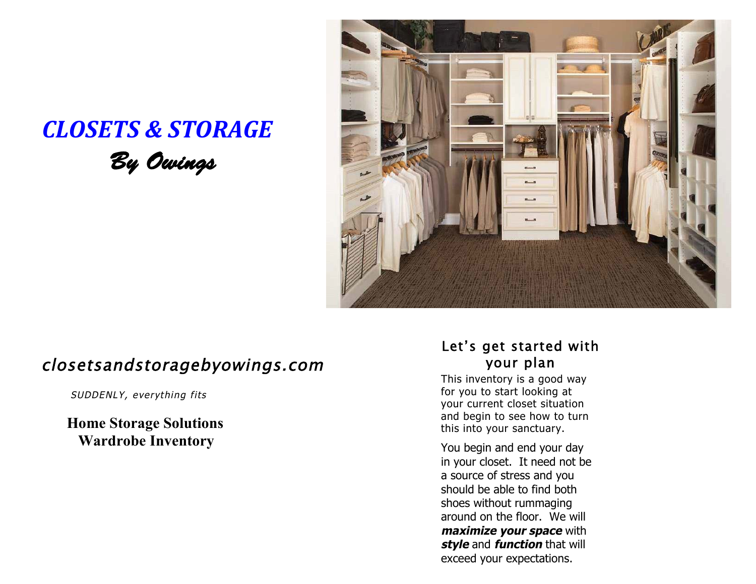## *CLOSETS & STORAGE By Owings*



## closetsandstoragebyowings.com

SUDDENLY, everything fits

**Home Storage Solutions Wardrobe Inventory** 

### Let's get started with your plan

This inventory is a good way for you to start looking at your current closet situation and begin to see how to turn this into your sanctuary.

You begin and end your day in your closet. It need not be a source of stress and you should be able to find both shoes without rummaging around on the floor. We will *maximize your space with* **style** and **function** that will exceed your expectations.